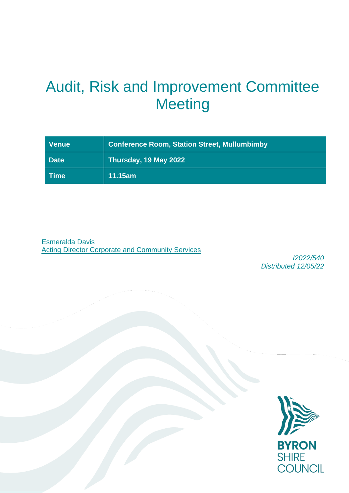# Audit, Risk and Improvement Committee **Meeting**

| <b>Venue</b> | <b>Conference Room, Station Street, Mullumbimby</b> |
|--------------|-----------------------------------------------------|
| <b>Date</b>  | Thursday, 19 May 2022                               |
| <b>Time</b>  | 11.15am                                             |

Esmeralda Davis Acting Director Corporate and Community Services

*I2022/540 Distributed 12/05/22*

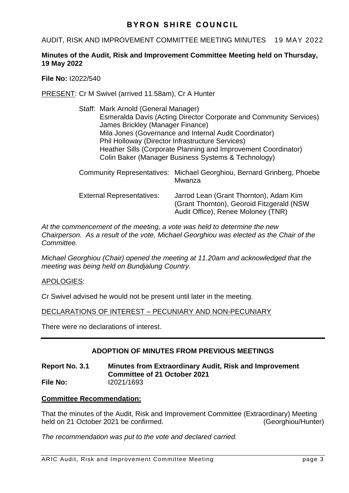# AUDIT, RISK AND IMPROVEMENT COMMITTEE MEETING MINUTES 19 MAY 2022

# **Minutes of the Audit, Risk and Improvement Committee Meeting held on Thursday, 19 May 2022**

**File No:** I2022/540

PRESENT: Cr M Swivel (arrived 11.58am), Cr A Hunter

- Staff: Mark Arnold (General Manager) Esmeralda Davis (Acting Director Corporate and Community Services) James Brickley (Manager Finance) Mila Jones (Governance and Internal Audit Coordinator) Phil Holloway (Director Infrastructure Services) Heather Sills (Corporate Planning and Improvement Coordinator) Colin Baker (Manager Business Systems & Technology)
- Community Representatives: Michael Georghiou, Bernard Grinberg, Phoebe Mwanza External Representatives: Jarrod Lean (Grant Thornton), Adam Kim (Grant Thornton), Georoid Fitzgerald (NSW Audit Office), Renee Moloney (TNR)

*At the commencement of the meeting, a vote was held to determine the new Chairperson. As a result of the vote, Michael Georghiou was elected as the Chair of the Committee.*

*Michael Georghiou (Chair) opened the meeting at 11.20am and acknowledged that the meeting was being held on Bundjalung Country.*

# APOLOGIES:

Cr Swivel advised he would not be present until later in the meeting.

DECLARATIONS OF INTEREST – PECUNIARY AND NON-PECUNIARY

There were no declarations of interest.

# **ADOPTION OF MINUTES FROM PREVIOUS MEETINGS**

## **Report No. 3.1 Minutes from Extraordinary Audit, Risk and Improvement Committee of 21 October 2021 File No:** I2021/1693

# **Committee Recommendation:**

That the minutes of the Audit, Risk and Improvement Committee (Extraordinary) Meeting held on 21 October 2021 be confirmed. (Georghiou/Hunter)

*The recommendation was put to the vote and declared carried.*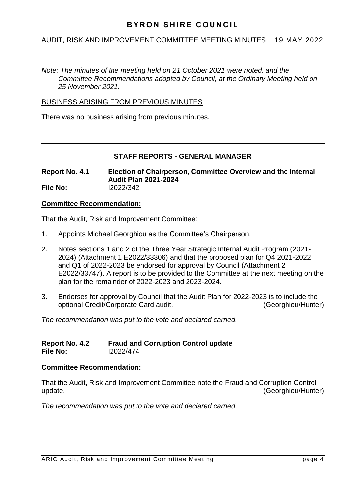# AUDIT, RISK AND IMPROVEMENT COMMITTEE MEETING MINUTES 19 MAY 2022

*Note: The minutes of the meeting held on 21 October 2021 were noted, and the Committee Recommendations adopted by Council, at the Ordinary Meeting held on 25 November 2021.*

## BUSINESS ARISING FROM PREVIOUS MINUTES

There was no business arising from previous minutes.

# **STAFF REPORTS - GENERAL MANAGER**

**Report No. 4.1 Election of Chairperson, Committee Overview and the Internal Audit Plan 2021-2024 File No:** I2022/342

## **Committee Recommendation:**

That the Audit, Risk and Improvement Committee:

- 1. Appoints Michael Georghiou as the Committee's Chairperson.
- 2. Notes sections 1 and 2 of the Three Year Strategic Internal Audit Program (2021- 2024) (Attachment 1 E2022/33306) and that the proposed plan for Q4 2021-2022 and Q1 of 2022-2023 be endorsed for approval by Council (Attachment 2 E2022/33747). A report is to be provided to the Committee at the next meeting on the plan for the remainder of 2022-2023 and 2023-2024.
- 3. Endorses for approval by Council that the Audit Plan for 2022-2023 is to include the optional Credit/Corporate Card audit. (Georghiou/Hunter)

*The recommendation was put to the vote and declared carried.*

## **Report No. 4.2 Fraud and Corruption Control update File No:** I2022/474

## **Committee Recommendation:**

That the Audit, Risk and Improvement Committee note the Fraud and Corruption Control update. (Georghiou/Hunter)

*The recommendation was put to the vote and declared carried.*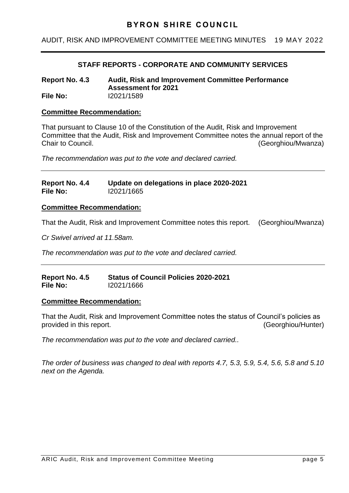# AUDIT, RISK AND IMPROVEMENT COMMITTEE MEETING MINUTES 19 MAY 2022

# **STAFF REPORTS - CORPORATE AND COMMUNITY SERVICES**

**Report No. 4.3 Audit, Risk and Improvement Committee Performance Assessment for 2021 File No:** I2021/1589

## **Committee Recommendation:**

That pursuant to Clause 10 of the Constitution of the Audit, Risk and Improvement Committee that the Audit, Risk and Improvement Committee notes the annual report of the Chair to Council. (Georghiou/Mwanza)

*The recommendation was put to the vote and declared carried.*

## **Report No. 4.4 Update on delegations in place 2020-2021 File No:** I2021/1665

## **Committee Recommendation:**

That the Audit, Risk and Improvement Committee notes this report. (Georghiou/Mwanza)

*Cr Swivel arrived at 11.58am.*

*The recommendation was put to the vote and declared carried.*

## **Report No. 4.5 Status of Council Policies 2020-2021 File No:** I2021/1666

## **Committee Recommendation:**

That the Audit, Risk and Improvement Committee notes the status of Council's policies as provided in this report. The contract of the contract of the contract of the contract of the contract of the contract of the contract of the contract of the contract of the contract of the contract of the contract of the c

*The recommendation was put to the vote and declared carried..*

*The order of business was changed to deal with reports 4.7, 5.3, 5.9, 5.4, 5.6, 5.8 and 5.10 next on the Agenda.*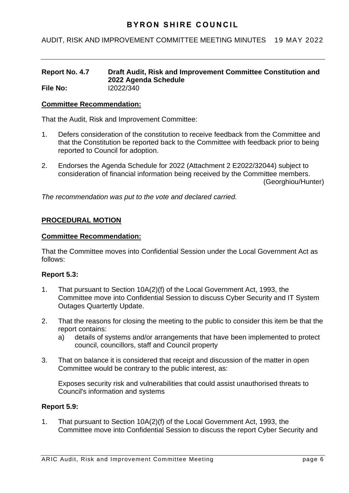# AUDIT, RISK AND IMPROVEMENT COMMITTEE MEETING MINUTES 19 MAY 2022

#### **Report No. 4.7 Draft Audit, Risk and Improvement Committee Constitution and 2022 Agenda Schedule File No:** I2022/340

## **Committee Recommendation:**

That the Audit, Risk and Improvement Committee:

- 1. Defers consideration of the constitution to receive feedback from the Committee and that the Constitution be reported back to the Committee with feedback prior to being reported to Council for adoption.
- 2. Endorses the Agenda Schedule for 2022 (Attachment 2 E2022/32044) subject to consideration of financial information being received by the Committee members. (Georghiou/Hunter)

*The recommendation was put to the vote and declared carried.*

# **PROCEDURAL MOTION**

## **Committee Recommendation:**

That the Committee moves into Confidential Session under the Local Government Act as follows:

## **Report 5.3:**

- 1. That pursuant to Section 10A(2)(f) of the Local Government Act, 1993, the Committee move into Confidential Session to discuss Cyber Security and IT System Outages Quartertly Update.
- 2. That the reasons for closing the meeting to the public to consider this item be that the report contains:
	- a) details of systems and/or arrangements that have been implemented to protect council, councillors, staff and Council property
- 3. That on balance it is considered that receipt and discussion of the matter in open Committee would be contrary to the public interest, as:

Exposes security risk and vulnerabilities that could assist unauthorised threats to Council's information and systems

## **Report 5.9:**

1. That pursuant to Section 10A(2)(f) of the Local Government Act, 1993, the Committee move into Confidential Session to discuss the report Cyber Security and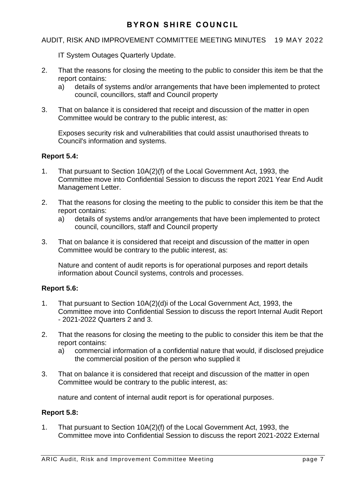# AUDIT, RISK AND IMPROVEMENT COMMITTEE MEETING MINUTES 19 MAY 2022

IT System Outages Quarterly Update.

- 2. That the reasons for closing the meeting to the public to consider this item be that the report contains:
	- a) details of systems and/or arrangements that have been implemented to protect council, councillors, staff and Council property
- 3. That on balance it is considered that receipt and discussion of the matter in open Committee would be contrary to the public interest, as:

Exposes security risk and vulnerabilities that could assist unauthorised threats to Council's information and systems.

## **Report 5.4:**

- 1. That pursuant to Section 10A(2)(f) of the Local Government Act, 1993, the Committee move into Confidential Session to discuss the report 2021 Year End Audit Management Letter.
- 2. That the reasons for closing the meeting to the public to consider this item be that the report contains:
	- a) details of systems and/or arrangements that have been implemented to protect council, councillors, staff and Council property
- 3. That on balance it is considered that receipt and discussion of the matter in open Committee would be contrary to the public interest, as:

Nature and content of audit reports is for operational purposes and report details information about Council systems, controls and processes.

## **Report 5.6:**

- 1. That pursuant to Section 10A(2)(d)i of the Local Government Act, 1993, the Committee move into Confidential Session to discuss the report Internal Audit Report - 2021-2022 Quarters 2 and 3.
- 2. That the reasons for closing the meeting to the public to consider this item be that the report contains:
	- a) commercial information of a confidential nature that would, if disclosed prejudice the commercial position of the person who supplied it
- 3. That on balance it is considered that receipt and discussion of the matter in open Committee would be contrary to the public interest, as:

nature and content of internal audit report is for operational purposes.

## **Report 5.8:**

1. That pursuant to Section 10A(2)(f) of the Local Government Act, 1993, the Committee move into Confidential Session to discuss the report 2021-2022 External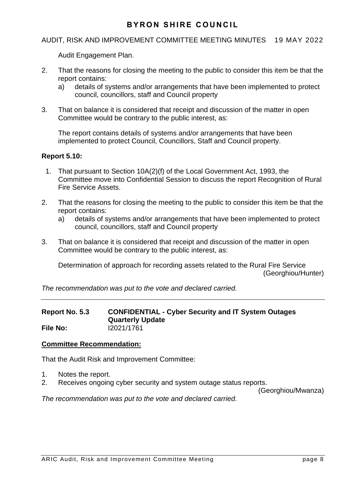# AUDIT, RISK AND IMPROVEMENT COMMITTEE MEETING MINUTES 19 MAY 2022

Audit Engagement Plan.

- 2. That the reasons for closing the meeting to the public to consider this item be that the report contains:
	- a) details of systems and/or arrangements that have been implemented to protect council, councillors, staff and Council property
- 3. That on balance it is considered that receipt and discussion of the matter in open Committee would be contrary to the public interest, as:

The report contains details of systems and/or arrangements that have been implemented to protect Council, Councillors, Staff and Council property.

## **Report 5.10:**

- 1. That pursuant to Section 10A(2)(f) of the Local Government Act, 1993, the Committee move into Confidential Session to discuss the report Recognition of Rural Fire Service Assets.
- 2. That the reasons for closing the meeting to the public to consider this item be that the report contains:
	- a) details of systems and/or arrangements that have been implemented to protect council, councillors, staff and Council property
- 3. That on balance it is considered that receipt and discussion of the matter in open Committee would be contrary to the public interest, as:

Determination of approach for recording assets related to the Rural Fire Service (Georghiou/Hunter)

*The recommendation was put to the vote and declared carried.*

## **Report No. 5.3 CONFIDENTIAL - Cyber Security and IT System Outages Quarterly Update File No:** I2021/1761

## **Committee Recommendation:**

That the Audit Risk and Improvement Committee:

- 1. Notes the report.
- 2. Receives ongoing cyber security and system outage status reports.

(Georghiou/Mwanza)

*The recommendation was put to the vote and declared carried.*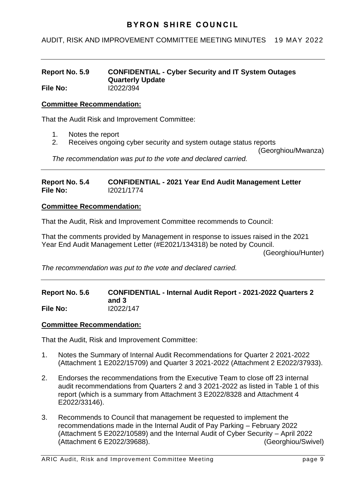# AUDIT, RISK AND IMPROVEMENT COMMITTEE MEETING MINUTES 19 MAY 2022

#### **Report No. 5.9 CONFIDENTIAL - Cyber Security and IT System Outages Quarterly Update File No:** I2022/394

## **Committee Recommendation:**

That the Audit Risk and Improvement Committee:

- 1. Notes the report
- 2. Receives ongoing cyber security and system outage status reports

(Georghiou/Mwanza)

*The recommendation was put to the vote and declared carried.*

**Report No. 5.4 CONFIDENTIAL - 2021 Year End Audit Management Letter File No:** I2021/1774

## **Committee Recommendation:**

That the Audit, Risk and Improvement Committee recommends to Council:

That the comments provided by Management in response to issues raised in the 2021 Year End Audit Management Letter (#E2021/134318) be noted by Council. (Georghiou/Hunter)

*The recommendation was put to the vote and declared carried.*

#### **Report No. 5.6 CONFIDENTIAL - Internal Audit Report - 2021-2022 Quarters 2 and 3 File No:** I2022/147

## **Committee Recommendation:**

That the Audit, Risk and Improvement Committee:

- 1. Notes the Summary of Internal Audit Recommendations for Quarter 2 2021-2022 (Attachment 1 E2022/15709) and Quarter 3 2021-2022 (Attachment 2 E2022/37933).
- 2. Endorses the recommendations from the Executive Team to close off 23 internal audit recommendations from Quarters 2 and 3 2021-2022 as listed in Table 1 of this report (which is a summary from Attachment 3 E2022/8328 and Attachment 4 E2022/33146).
- 3. Recommends to Council that management be requested to implement the recommendations made in the Internal Audit of Pay Parking – February 2022 (Attachment 5 E2022/10589) and the Internal Audit of Cyber Security – April 2022 (Attachment 6 E2022/39688). (Georghiou/Swivel)